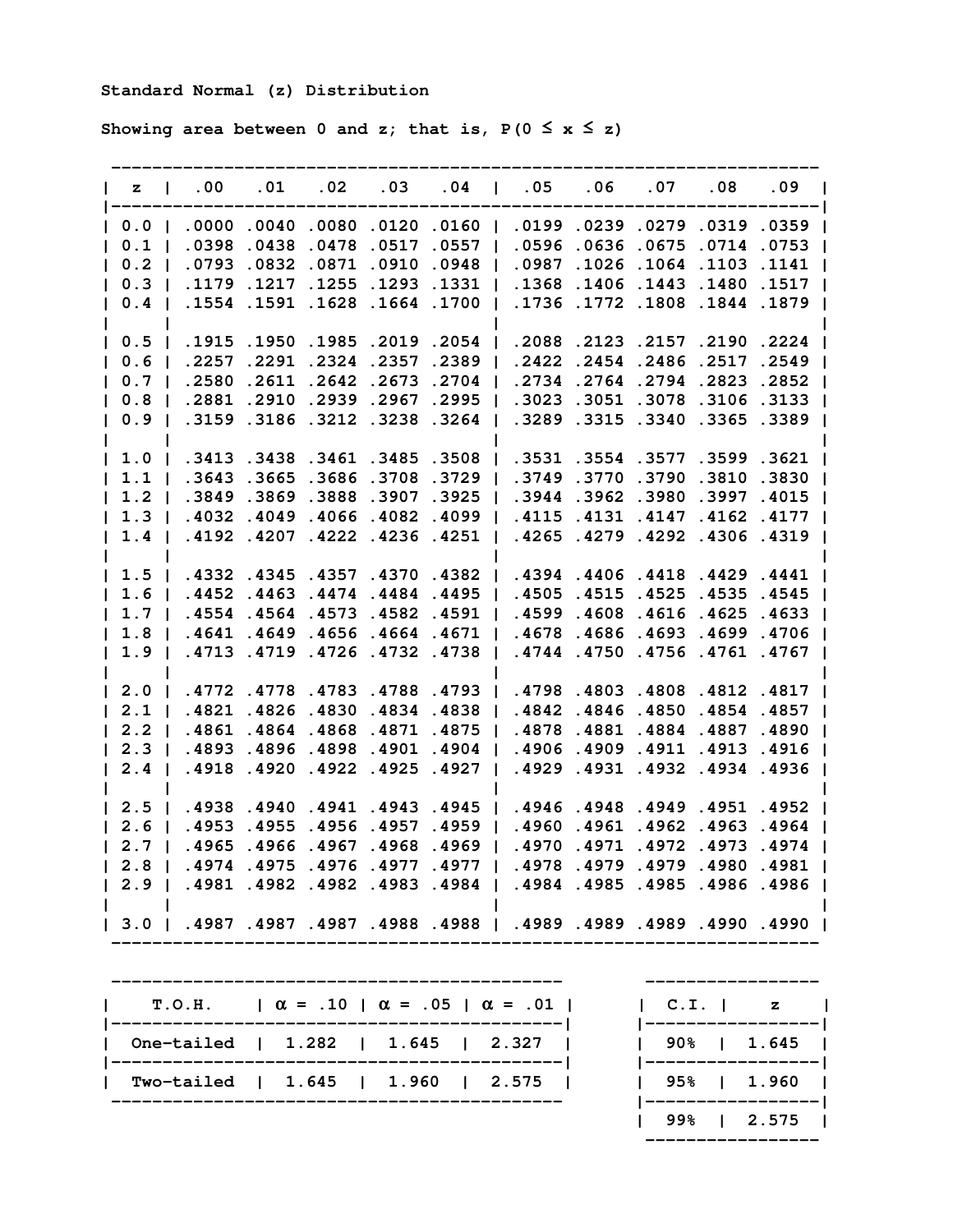## **Standard Normal (z) Distribution**

Showing area between 0 and z; that is,  $P(0 \le x \le z)$ 

| $z \quad 1$      |                | $.00 \,$   | .01                                | .02        | .03               | .04   | $\blacksquare$ | .05   | .06                       | .07             | .08                  | .09                                                           |
|------------------|----------------|------------|------------------------------------|------------|-------------------|-------|----------------|-------|---------------------------|-----------------|----------------------|---------------------------------------------------------------|
| 0.0              |                |            | $.0000$ .0040.0080.0120.0160       |            |                   |       |                | .0199 | .0239.0279.0319.0359      |                 |                      |                                                               |
| 0.1              |                | .0398      | .0438                              | .0478.0517 |                   | .0557 | $\blacksquare$ | .0596 |                           |                 | .0636.0675.0714.0753 |                                                               |
| 0.2              | $\blacksquare$ | .0793      | .0832                              | .0871      | .0910             | .0948 |                | .0987 |                           |                 | .1026.1064.1103.1141 |                                                               |
| 0.3              | - 1            | .1179      | .1217                              | .1255      | .1293             | .1331 |                | .1368 |                           |                 | .1406.1443.1480      | .1517                                                         |
| 0.4              |                | .1554      | .1591                              |            | .1628.1664.1700   |       |                | .1736 | .1772.1808.1844           |                 |                      | .1879                                                         |
| 0.5              |                | .1915      | .1950                              | .1985      | .2019             | .2054 |                | .2088 |                           |                 | .2123.2157.2190.2224 |                                                               |
| 0.6              |                | .2257      | .2291                              | .2324      | .2357             | .2389 |                | .2422 | .2454.2486.2517.2549      |                 |                      |                                                               |
| 0.7              | $\blacksquare$ | .2580      | .2611                              | .2642      | .2673             | .2704 |                | .2734 | .2764.2794.2823           |                 |                      | .2852                                                         |
| 0.8              |                | .2881      | .2910                              | .2939      | .2967             | .2995 |                | .3023 |                           |                 | .3051 .3078 .3106    | .3133                                                         |
| 0.9              |                | .3159      | .3186                              | .3212      | .3238             | .3264 |                | .3289 |                           | .3315.3340.3365 |                      | .3389                                                         |
| 1.0              |                |            | .3413.3438.3461.3485.3508          |            |                   |       |                | .3531 | .3554 .3577 .3599 .3621   |                 |                      |                                                               |
| 1.1              |                | .3643      | .3665                              | .3686      | .3708             | .3729 |                | .3749 | .3770.3790.3810.3830      |                 |                      |                                                               |
| 1.2              |                | .3849      | .3869                              | .3888      | .3907             | .3925 |                | .3944 | .3962                     |                 | .3980.3997           | .4015                                                         |
| 1.3              |                | .4032      | .4049                              | .4066      | .4082             | .4099 |                | .4115 | .4131                     |                 | .4147.4162           | .4177                                                         |
| 1.4              |                | .4192      | .4207                              | .4222      | .4236.4251        |       |                | .4265 |                           |                 | .4279.4292.4306      | .4319                                                         |
| 1.5              | $\mathbf{I}$   |            | .4332 .4345 .4357 .4370 .4382      |            |                   |       |                |       | .4394.4406.4418.4429.4441 |                 |                      |                                                               |
| 1.6              | $\blacksquare$ | .4452.4463 |                                    |            | .4474.4484.4495   |       |                | .4505 | .4515 .4525 .4535 .4545   |                 |                      |                                                               |
| 1.7 <sub>1</sub> |                | .4554.4564 |                                    |            | .4573 .4582 .4591 |       |                | .4599 | .4608.4616.4625           |                 |                      | .4633                                                         |
| 1.8              |                | .4641      | .4649                              | .4656      | .4664.4671        |       |                | .4678 |                           |                 | .4686.4693.4699      | .4706                                                         |
| 1.9              |                |            | .4713.4719                         | .4726      | .4732             | .4738 |                | .4744 | .4750.4756.4761           |                 |                      | .4767                                                         |
|                  |                |            |                                    |            |                   |       |                |       |                           |                 |                      |                                                               |
| 2.0<br>2.1       |                | .4821      | .4772.4778.4783.4788.4793<br>.4826 |            | .4830.4834.4838   |       |                | .4842 | .4798.4803.4808.4812.4817 |                 | .4846.4850.4854.4857 |                                                               |
| 2.2              |                | .4861      | .4864                              | .4868      | .4871 .4875       |       |                | .4878 |                           |                 | .4881.4884.4887      | .4890                                                         |
| 2.3              |                | .4893      | .4896                              | .4898      | .4901             | .4904 |                | .4906 |                           |                 | .4909.4911.4913      | .4916                                                         |
| 2.4              |                | .4918      | .4920                              | .4922      | .4925             | .4927 |                | .4929 | .4931                     |                 | .4932.4934           | .4936                                                         |
|                  |                |            |                                    |            |                   |       |                |       |                           |                 |                      |                                                               |
| 2.5              |                | .4938      | .4940                              | .4941      | .4943             | .4945 |                | .4946 | .4948.4949.4951.4952      |                 |                      |                                                               |
| 2.6              | $\mathbf{I}$   | .4953      | .4955                              | .4956.4957 |                   | .4959 |                | .4960 |                           |                 |                      | .4961 .4962 .4963 .4964                                       |
| 2.7              |                | .4965      | .4966                              | .4967      | .4968             | .4969 |                | .4970 |                           |                 | .4971 .4972 .4973    | .4974                                                         |
| 2.8              |                | .4974      | .4975                              | .4976      | .4977             | .4977 |                | .4978 |                           | .4979.4979.4980 |                      | .4981                                                         |
| 2.9              |                | .4981      | .4982                              | .4982      | .4983             | .4984 |                | .4984 | .4985                     | .4985           | .4986                | .4986                                                         |
| $3.0$            |                |            |                                    |            |                   |       |                |       |                           |                 |                      | 1990، 1990، 1989، 1989، 1989،   1988، 1988، 1987، 1987، 1987، |

| T.O.H. $\alpha = .10$   $\alpha = .05$   $\alpha = .01$ | $\begin{array}{ccc} \cdot & \cdot & \cdot \\ \cdot & \cdot & \cdot \end{array}$ |
|---------------------------------------------------------|---------------------------------------------------------------------------------|
| One-tailed   1.282   1.645   2.327                      | 90% 1 1.645                                                                     |
| Two-tailed   1.645   1.960<br>  2.575                   | 95%   1.960                                                                     |

|  | $T.O.H.$ $\alpha = .10$ $\alpha = .05$ $\alpha = .01$ | C. I. I z   |
|--|-------------------------------------------------------|-------------|
|  | One-tailed   1.282   1.645   2.327                    | 90%   1.645 |
|  | Two-tailed   1.645   1.960   2.575                    | 95%   1.960 |
|  |                                                       | 99%   2.575 |
|  |                                                       |             |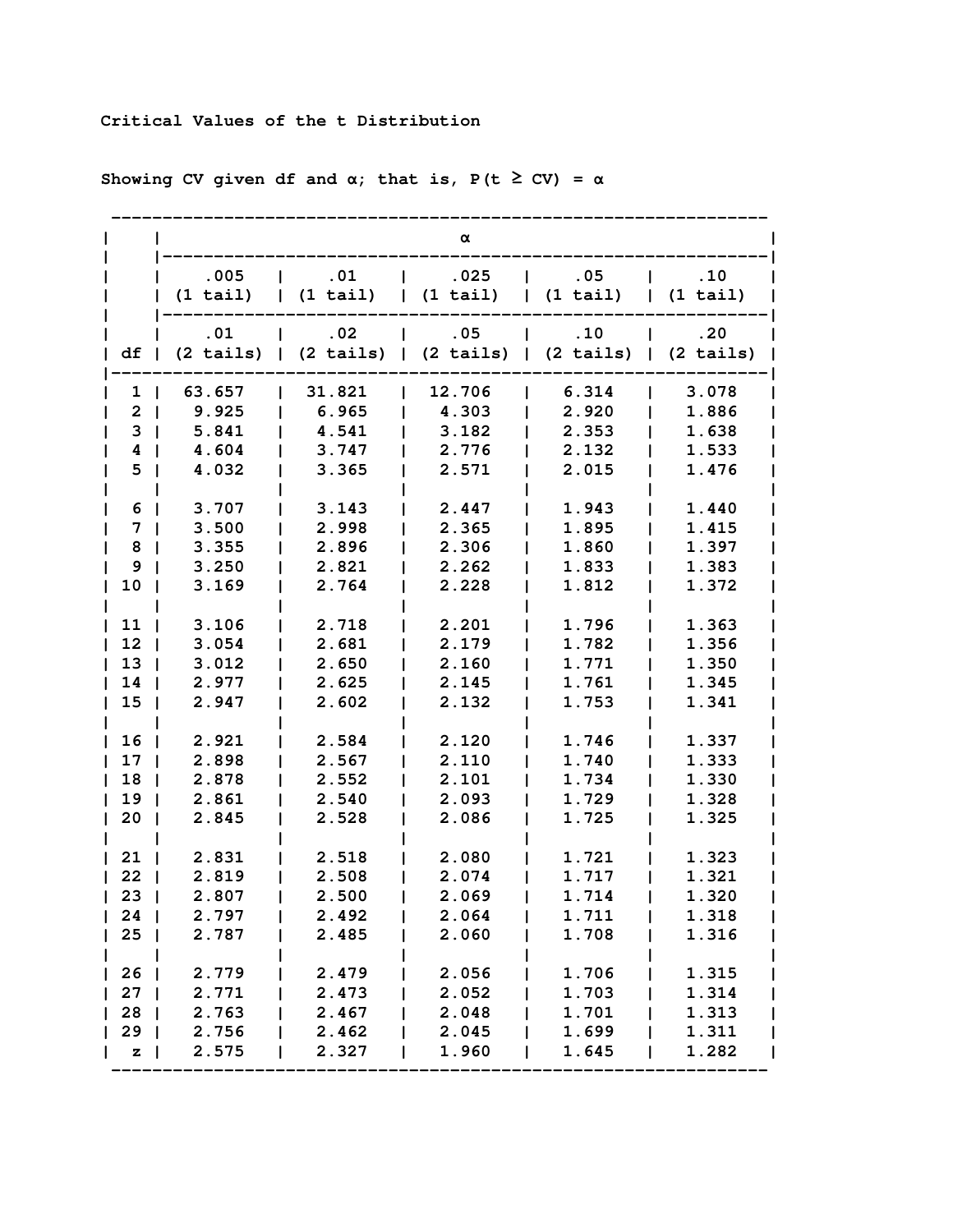## **Critical Values of the t Distribution**

|              |                |                                                                                                             | α                                   |                              |                          |
|--------------|----------------|-------------------------------------------------------------------------------------------------------------|-------------------------------------|------------------------------|--------------------------|
|              | .005           | .01<br>$\mathbf{I}$                                                                                         | .025<br>$\mathbf{L}$                | .05<br>$\mathbf{I}$          | $\ldots$                 |
|              | (1 tail)       | $\vert$ (1 tail)                                                                                            | (1 tail)                            | $\vert$ (1 tail)             | (1 tail)<br>$\mathbf{L}$ |
|              | .01            | .02                                                                                                         | .05<br>$\mathbf{L}$<br>$\mathbf{I}$ | $\overline{\phantom{0}}$ .10 | .20                      |
| df           |                | $(2 \text{ tails})$   $(2 \text{ tails})$   $(2 \text{ tails})$   $(2 \text{ tails})$   $(2 \text{ tails})$ |                                     |                              |                          |
| 1            | 63.657         | 31.821                                                                                                      | 12.706                              | 6.314                        | 3.078                    |
| $\mathbf{2}$ | 9.925          | 6.965                                                                                                       | 4.303                               | 2.920                        | 1.886                    |
| 3            | 5.841          | 4.541                                                                                                       | 3.182                               | 2.353                        | 1.638                    |
| 4            | 4.604          | 3.747                                                                                                       | 2.776                               | 2.132                        | 1.533                    |
| 5            | 4.032          | 3.365                                                                                                       | 2.571                               | 2.015                        | 1.476                    |
| 6            | 3.707          | 3.143                                                                                                       | 2.447                               | 1.943                        | 1.440                    |
| 7            | 3.500          | 2.998                                                                                                       | 2.365                               | 1.895                        | 1.415                    |
| 8            | 3.355          | 2.896                                                                                                       | 2.306                               | 1.860                        | 1.397                    |
| 9            | 3.250          | 2.821                                                                                                       | 2.262                               | 1.833                        | 1.383                    |
| 10           | 3.169          | 2.764                                                                                                       | 2.228                               | 1.812                        | 1.372                    |
|              |                |                                                                                                             |                                     |                              |                          |
| 11           | 3.106          | 2.718                                                                                                       | 2.201                               | 1.796                        | 1.363                    |
| 12           | 3.054          | 2.681                                                                                                       | 2.179                               | 1.782                        | 1.356                    |
| 13           | 3.012          | 2.650                                                                                                       | 2.160                               | 1.771                        | 1.350                    |
| 14           | 2.977          | 2.625                                                                                                       | 2.145                               | 1.761                        | 1.345                    |
| 15           | 2.947          | 2.602                                                                                                       | 2.132                               | 1.753                        | 1.341                    |
| 16           | 2.921          | 2.584                                                                                                       | 2.120                               | 1.746                        | 1.337                    |
| 17           | 2.898          | 2.567                                                                                                       | 2.110                               | 1.740                        | 1.333                    |
| 18           | 2.878          | 2.552                                                                                                       | 2.101                               | 1.734                        | 1.330                    |
| 19           | 2.861          | 2.540                                                                                                       | 2.093                               | 1.729                        | 1.328                    |
| 20           | 2.845          | 2.528                                                                                                       | 2.086                               | 1.725                        | 1.325                    |
|              |                |                                                                                                             |                                     |                              |                          |
| 21           | 2.831          | 2.518                                                                                                       | 2.080                               | 1.721                        | 1.323                    |
| 22<br>23     | 2.819<br>2.807 | 2.508<br>2.500                                                                                              | 2.074<br>2.069                      | 1.717<br>1.714               | 1.321<br>1.320           |
| $24$         | 2.797          | 2.492                                                                                                       | 2.064                               | 1.711                        | 1.318                    |
| 25           | 2.787          | 2.485                                                                                                       | 2.060                               | 1.708                        | 1.316                    |
|              |                |                                                                                                             |                                     |                              |                          |
| 26           | 2.779          | 2.479                                                                                                       | 2.056                               | 1.706                        | 1.315                    |
| 27           | 2.771          | 2.473                                                                                                       | 2.052                               | 1.703                        | 1.314                    |
| 28           | 2.763          | 2.467                                                                                                       | 2.048                               | 1.701                        | 1.313                    |
| 29           | 2.756          | 2.462                                                                                                       | 2.045                               | 1.699                        | 1.311                    |
| $\mathbf{z}$ | 2.575          | 2.327                                                                                                       | 1.960                               | 1.645                        | 1.282                    |

**Showing CV given df and** α**; that is, P(t** ≥ **CV) =** α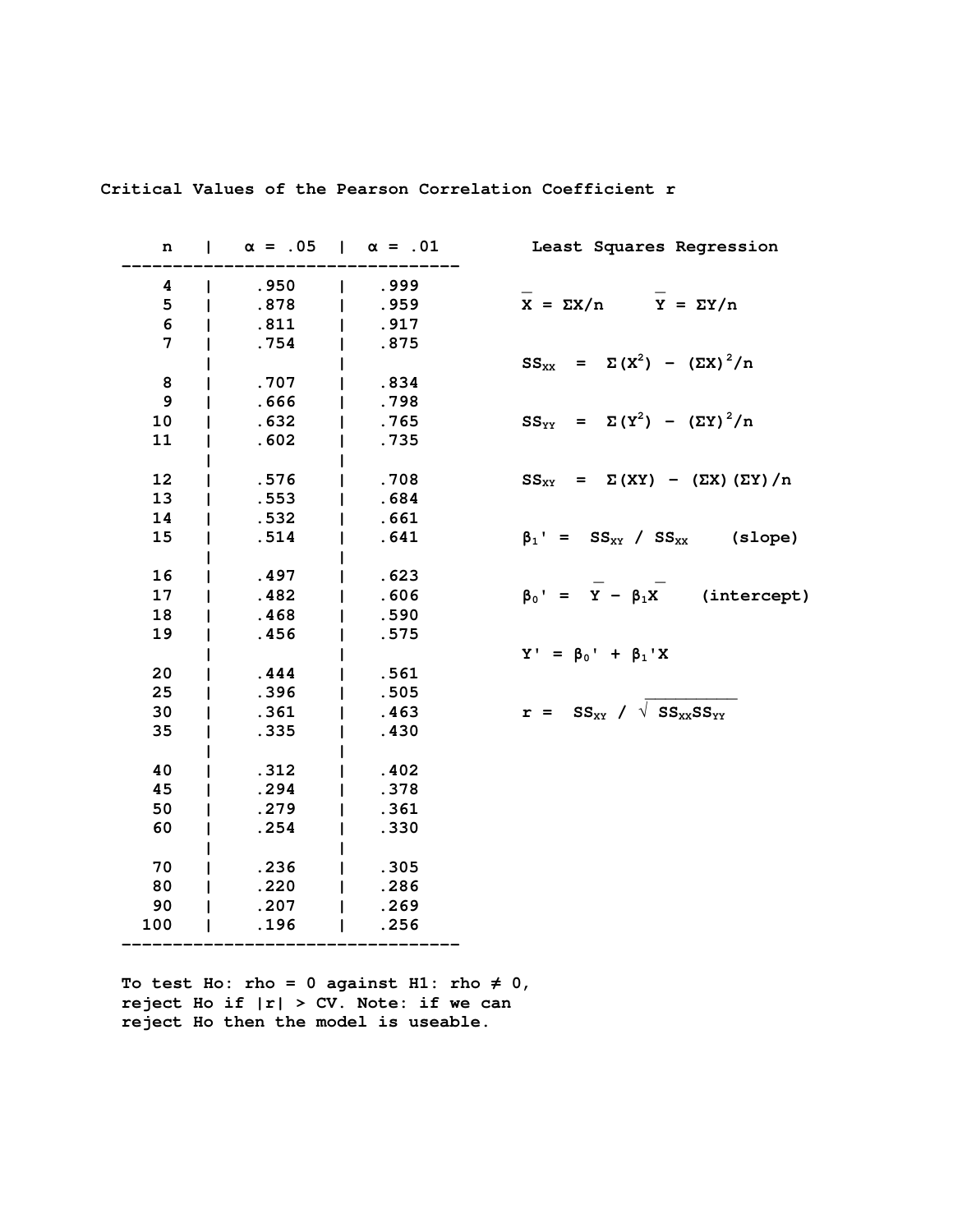| n   | $\alpha = .05$   $\alpha = .01$ |      | Least Squares Regression                                     |
|-----|---------------------------------|------|--------------------------------------------------------------|
| 4   | .950                            | .999 |                                                              |
| 5   | .878                            | .959 | $X = \Sigma X/n$ $Y = \Sigma Y/n$                            |
| 6   | .811                            | .917 |                                                              |
| 7   | .754                            | .875 |                                                              |
|     |                                 |      | $SS_{XX}$ = $\Sigma (X^2)$ - $(\Sigma X)^2/n$                |
| 8   | .707                            | .834 |                                                              |
| 9   | .666                            | .798 |                                                              |
| 10  | .632                            | .765 | $SS_{YY} = \Sigma (Y^2) - (\Sigma Y)^2/n$                    |
| 11  | .602                            | .735 |                                                              |
|     |                                 |      |                                                              |
| 12  | .576                            | .708 | $SS_{XY}$ = $\Sigma (XY)$ - $(\Sigma X) (\Sigma Y)/n$        |
| 13  | .553                            | .684 |                                                              |
| 14  | .532                            | .661 |                                                              |
| 15  | .514                            | .641 | $\beta_1$ ' = SS <sub>xx</sub> / SS <sub>xx</sub> (slope)    |
|     |                                 |      |                                                              |
| 16  | .497                            | .623 |                                                              |
| 17  | .482                            | .606 | $\beta_0' = \overline{Y} - \beta_1 \overline{X}$ (intercept) |
| 18  | .468                            | .590 |                                                              |
| 19  | .456                            | .575 |                                                              |
|     |                                 |      | $Y' = \beta_0' + \beta_1' X$                                 |
| 20  | .444                            | .561 |                                                              |
| 25  | .396                            | .505 |                                                              |
| 30  | .361                            | .463 | $r = SS_{XY} / \sqrt{SS_{XX}SS_{YY}}$                        |
| 35  | .335                            | .430 |                                                              |
|     |                                 |      |                                                              |
| 40  | .312                            | .402 |                                                              |
| 45  | .294                            | .378 |                                                              |
| 50  | .279                            | .361 |                                                              |
| 60  | .254                            | .330 |                                                              |
|     |                                 |      |                                                              |
| 70  | .236                            | .305 |                                                              |
| 80  | .220                            | .286 |                                                              |
| 90  | .207                            | .269 |                                                              |
| 100 | .196                            | .256 |                                                              |
|     |                                 |      |                                                              |

**Critical Values of the Pearson Correlation Coefficient r** 

To test Ho: rho =  $0$  against H1: rho  $\neq 0$ ,  **reject Ho if |r| > CV. Note: if we can reject Ho then the model is useable.**